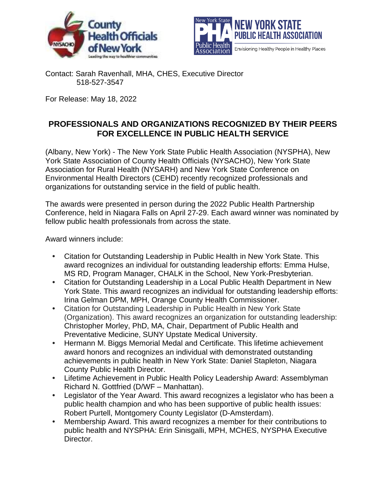



Contact: Sarah Ravenhall, MHA, CHES, Executive Director 518-527-3547

For Release: May 18, 2022

## **PROFESSIONALS AND ORGANIZATIONS RECOGNIZED BY THEIR PEERS FOR EXCELLENCE IN PUBLIC HEALTH SERVICE**

(Albany, New York) - The New York State Public Health Association (NYSPHA), New York State Association of County Health Officials (NYSACHO), New York State Association for Rural Health (NYSARH) and New York State Conference on Environmental Health Directors (CEHD) recently recognized professionals and organizations for outstanding service in the field of public health.

The awards were presented in person during the 2022 Public Health Partnership Conference, held in Niagara Falls on April 27-29. Each award winner was nominated by fellow public health professionals from across the state.

Award winners include:

- **•** Citation for Outstanding Leadership in Public Health in New York State. This award recognizes an individual for outstanding leadership efforts: Emma Hulse, MS RD, Program Manager, CHALK in the School, New York-Presbyterian.
- **•** Citation for Outstanding Leadership in a Local Public Health Department in New York State. This award recognizes an individual for outstanding leadership efforts: Irina Gelman DPM, MPH, Orange County Health Commissioner.
- **•** Citation for Outstanding Leadership in Public Health in New York State (Organization). This award recognizes an organization for outstanding leadership: Christopher Morley, PhD, MA, Chair, Department of Public Health and Preventative Medicine, SUNY Upstate Medical University.
- **•** Hermann M. Biggs Memorial Medal and Certificate. This lifetime achievement award honors and recognizes an individual with demonstrated outstanding achievements in public health in New York State: Daniel Stapleton, Niagara County Public Health Director.
- **•** Lifetime Achievement in Public Health Policy Leadership Award: Assemblyman Richard N. Gottfried (D/WF – Manhattan).
- **•** Legislator of the Year Award. This award recognizes a legislator who has been a public health champion and who has been supportive of public health issues: Robert Purtell, Montgomery County Legislator (D-Amsterdam).
- **•** Membership Award. This award recognizes a member for their contributions to public health and NYSPHA: Erin Sinisgalli, MPH, MCHES, NYSPHA Executive Director.